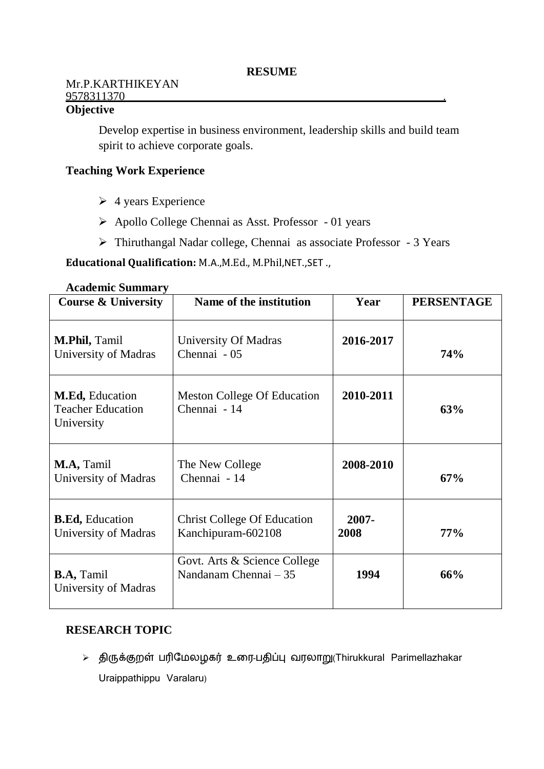### Mr.P.KARTHIKEYAN 9578311370 .

# **Objective**

Develop expertise in business environment, leadership skills and build team spirit to achieve corporate goals.

### **Teaching Work Experience**

- $\triangleright$  4 years Experience
- Apollo College Chennai as Asst. Professor 01 years
- Thiruthangal Nadar college, Chennai as associate Professor 3 Years

**Educational Qualification:** M.A.,M.Ed., M.Phil,NET.,SET .,

| Atauthin Summary                                          |                                                          |                  |                   |  |  |  |
|-----------------------------------------------------------|----------------------------------------------------------|------------------|-------------------|--|--|--|
| <b>Course &amp; University</b>                            | Name of the institution                                  | Year             | <b>PERSENTAGE</b> |  |  |  |
| M.Phil, Tamil<br>University of Madras                     | University Of Madras<br>Chennai - 05                     | 2016-2017        | <b>74%</b>        |  |  |  |
| M.Ed, Education<br><b>Teacher Education</b><br>University | <b>Meston College Of Education</b><br>Chennai - 14       | 2010-2011        | 63%               |  |  |  |
| M.A, Tamil<br>University of Madras                        | The New College<br>Chennai - 14                          | 2008-2010        | 67%               |  |  |  |
| <b>B.Ed, Education</b><br>University of Madras            | <b>Christ College Of Education</b><br>Kanchipuram-602108 | $2007 -$<br>2008 | $77\%$            |  |  |  |
| <b>B.A, Tamil</b><br>University of Madras                 | Govt. Arts & Science College<br>Nandanam Chennai – 35    | 1994             | 66%               |  |  |  |

#### **Academic Summary**

### **RESEARCH TOPIC**

 திருக்குறள் பரிமேலழகர் உரை-பதிப்பு வைலாறு(Thirukkural Parimellazhakar Uraippathippu Varalaru)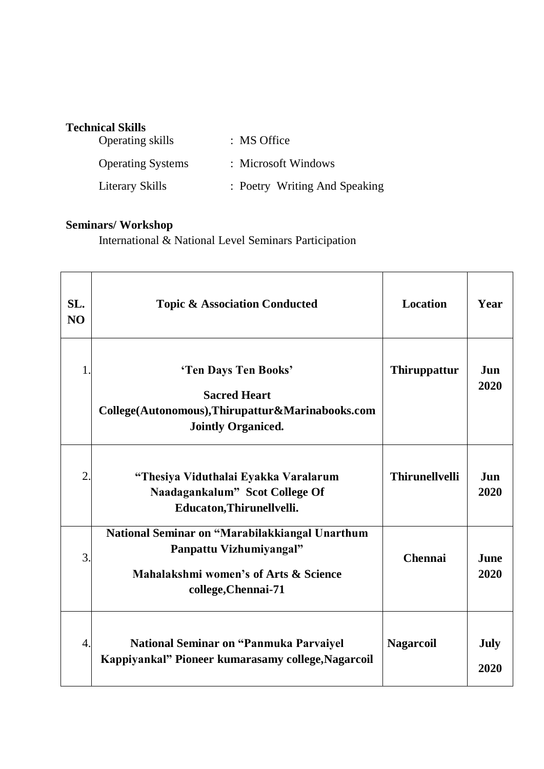### **Technical Skills**

| Operating skills         | : MS Office                   |
|--------------------------|-------------------------------|
| <b>Operating Systems</b> | : Microsoft Windows           |
| Literary Skills          | : Poetry Writing And Speaking |

# **Seminars/ Workshop**

International & National Level Seminars Participation

| SL.<br>NO      | <b>Topic &amp; Association Conducted</b>                                                                                                  | Location              | Year                |
|----------------|-------------------------------------------------------------------------------------------------------------------------------------------|-----------------------|---------------------|
| 1              | 'Ten Days Ten Books'<br><b>Sacred Heart</b><br>College(Autonomous), Thirupattur&Marinabooks.com<br><b>Jointly Organiced.</b>              | <b>Thiruppattur</b>   | <b>Jun</b><br>2020  |
| $\overline{2}$ | "Thesiya Viduthalai Eyakka Varalarum<br>Naadagankalum" Scot College Of<br>Educaton, Thirunellvelli.                                       | <b>Thirunellvelli</b> | Jun<br>2020         |
| 3              | National Seminar on "Marabilakkiangal Unarthum<br>Panpattu Vizhumiyangal"<br>Mahalakshmi women's of Arts & Science<br>college, Chennai-71 | <b>Chennai</b>        | <b>June</b><br>2020 |
| $\overline{4}$ | <b>National Seminar on "Panmuka Parvaiyel</b><br>Kappiyankal" Pioneer kumarasamy college, Nagarcoil                                       | <b>Nagarcoil</b>      | <b>July</b><br>2020 |